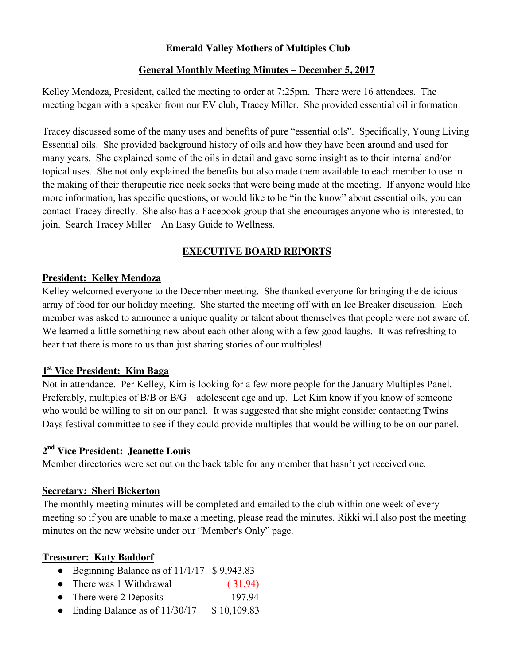### **Emerald Valley Mothers of Multiples Club**

### **General Monthly Meeting Minutes – December 5, 2017**

Kelley Mendoza, President, called the meeting to order at 7:25pm. There were 16 attendees. The meeting began with a speaker from our EV club, Tracey Miller. She provided essential oil information.

Tracey discussed some of the many uses and benefits of pure "essential oils". Specifically, Young Living Essential oils. She provided background history of oils and how they have been around and used for many years. She explained some of the oils in detail and gave some insight as to their internal and/or topical uses. She not only explained the benefits but also made them available to each member to use in the making of their therapeutic rice neck socks that were being made at the meeting. If anyone would like more information, has specific questions, or would like to be "in the know" about essential oils, you can contact Tracey directly. She also has a Facebook group that she encourages anyone who is interested, to join. Search Tracey Miller – An Easy Guide to Wellness.

# **EXECUTIVE BOARD REPORTS**

### **President: Kelley Mendoza**

Kelley welcomed everyone to the December meeting. She thanked everyone for bringing the delicious array of food for our holiday meeting. She started the meeting off with an Ice Breaker discussion. Each member was asked to announce a unique quality or talent about themselves that people were not aware of. We learned a little something new about each other along with a few good laughs. It was refreshing to hear that there is more to us than just sharing stories of our multiples!

### **1st Vice President: Kim Baga**

Not in attendance. Per Kelley, Kim is looking for a few more people for the January Multiples Panel. Preferably, multiples of B/B or B/G – adolescent age and up. Let Kim know if you know of someone who would be willing to sit on our panel. It was suggested that she might consider contacting Twins Days festival committee to see if they could provide multiples that would be willing to be on our panel.

# **2nd Vice President: Jeanette Louis**

Member directories were set out on the back table for any member that hasn't yet received one.

### **Secretary: Sheri Bickerton**

The monthly meeting minutes will be completed and emailed to the club within one week of every meeting so if you are unable to make a meeting, please read the minutes. Rikki will also post the meeting minutes on the new website under our "Member's Only" page.

### **Treasurer: Katy Baddorf**

- Beginning Balance as of 11/1/17 \$9,943.83
- There was 1 Withdrawal (31.94)
- There were 2 Deposits 197.94
- Ending Balance as of  $11/30/17$  \$ 10,109.83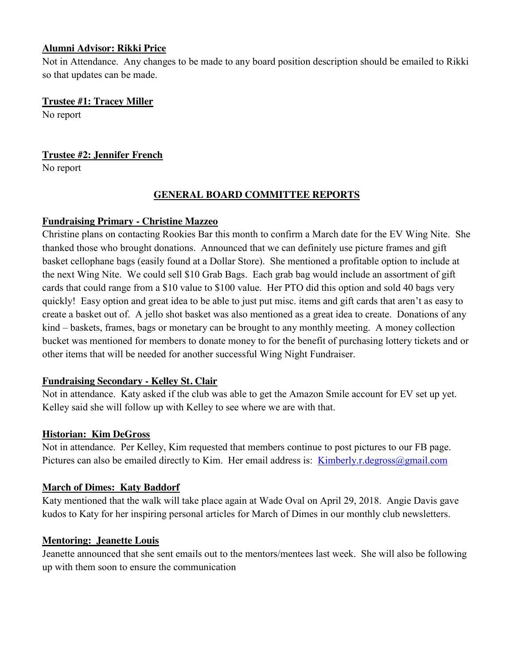### **Alumni Advisor: Rikki Price**

Not in Attendance. Any changes to be made to any board position description should be emailed to Rikki so that updates can be made.

### **Trustee #1: Tracey Miller**

No report

# **Trustee #2: Jennifer French**

No report

### **GENERAL BOARD COMMITTEE REPORTS**

# **Fundraising Primary - Christine Mazzeo**

Christine plans on contacting Rookies Bar this month to confirm a March date for the EV Wing Nite. She thanked those who brought donations. Announced that we can definitely use picture frames and gift basket cellophane bags (easily found at a Dollar Store). She mentioned a profitable option to include at the next Wing Nite. We could sell \$10 Grab Bags. Each grab bag would include an assortment of gift cards that could range from a \$10 value to \$100 value. Her PTO did this option and sold 40 bags very quickly! Easy option and great idea to be able to just put misc. items and gift cards that aren't as easy to create a basket out of. A jello shot basket was also mentioned as a great idea to create. Donations of any kind – baskets, frames, bags or monetary can be brought to any monthly meeting. A money collection bucket was mentioned for members to donate money to for the benefit of purchasing lottery tickets and or other items that will be needed for another successful Wing Night Fundraiser.

### **Fundraising Secondary - Kelley St. Clair**

Not in attendance. Katy asked if the club was able to get the Amazon Smile account for EV set up yet. Kelley said she will follow up with Kelley to see where we are with that.

# **Historian: Kim DeGross**

Not in attendance. Per Kelley, Kim requested that members continue to post pictures to our FB page. Pictures can also be emailed directly to Kim. Her email address is: Kimberly.r.degross@gmail.com

# **March of Dimes: Katy Baddorf**

Katy mentioned that the walk will take place again at Wade Oval on April 29, 2018. Angie Davis gave kudos to Katy for her inspiring personal articles for March of Dimes in our monthly club newsletters.

### **Mentoring: Jeanette Louis**

Jeanette announced that she sent emails out to the mentors/mentees last week. She will also be following up with them soon to ensure the communication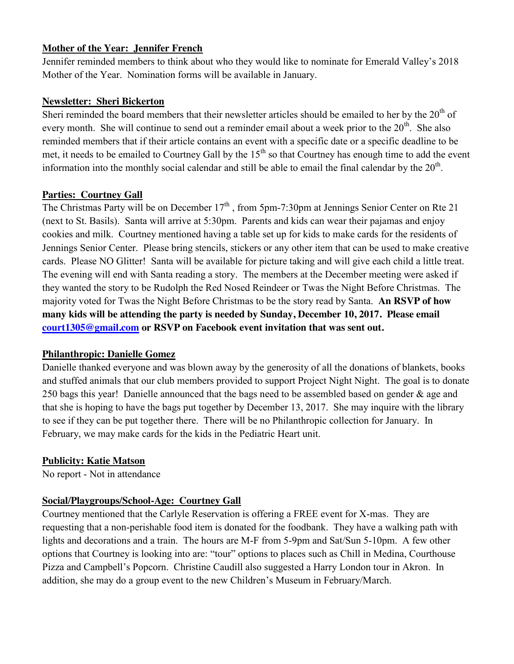### **Mother of the Year: Jennifer French**

Jennifer reminded members to think about who they would like to nominate for Emerald Valley's 2018 Mother of the Year. Nomination forms will be available in January.

### **Newsletter: Sheri Bickerton**

Sheri reminded the board members that their newsletter articles should be emailed to her by the 20<sup>th</sup> of every month. She will continue to send out a reminder email about a week prior to the 20<sup>th</sup>. She also reminded members that if their article contains an event with a specific date or a specific deadline to be met, it needs to be emailed to Courtney Gall by the  $15<sup>th</sup>$  so that Courtney has enough time to add the event information into the monthly social calendar and still be able to email the final calendar by the  $20<sup>th</sup>$ .

# **Parties: Courtney Gall**

The Christmas Party will be on December  $17<sup>th</sup>$ , from 5pm-7:30pm at Jennings Senior Center on Rte 21 (next to St. Basils). Santa will arrive at 5:30pm. Parents and kids can wear their pajamas and enjoy cookies and milk. Courtney mentioned having a table set up for kids to make cards for the residents of Jennings Senior Center. Please bring stencils, stickers or any other item that can be used to make creative cards. Please NO Glitter! Santa will be available for picture taking and will give each child a little treat. The evening will end with Santa reading a story. The members at the December meeting were asked if they wanted the story to be Rudolph the Red Nosed Reindeer or Twas the Night Before Christmas. The majority voted for Twas the Night Before Christmas to be the story read by Santa. **An RSVP of how many kids will be attending the party is needed by Sunday, December 10, 2017. Please email court1305@gmail.com or RSVP on Facebook event invitation that was sent out.** 

# **Philanthropic: Danielle Gomez**

Danielle thanked everyone and was blown away by the generosity of all the donations of blankets, books and stuffed animals that our club members provided to support Project Night Night. The goal is to donate 250 bags this year! Danielle announced that the bags need to be assembled based on gender & age and that she is hoping to have the bags put together by December 13, 2017. She may inquire with the library to see if they can be put together there. There will be no Philanthropic collection for January. In February, we may make cards for the kids in the Pediatric Heart unit.

# **Publicity: Katie Matson**

No report - Not in attendance

# **Social/Playgroups/School-Age: Courtney Gall**

Courtney mentioned that the Carlyle Reservation is offering a FREE event for X-mas. They are requesting that a non-perishable food item is donated for the foodbank. They have a walking path with lights and decorations and a train. The hours are M-F from 5-9pm and Sat/Sun 5-10pm. A few other options that Courtney is looking into are: "tour" options to places such as Chill in Medina, Courthouse Pizza and Campbell's Popcorn. Christine Caudill also suggested a Harry London tour in Akron. In addition, she may do a group event to the new Children's Museum in February/March.